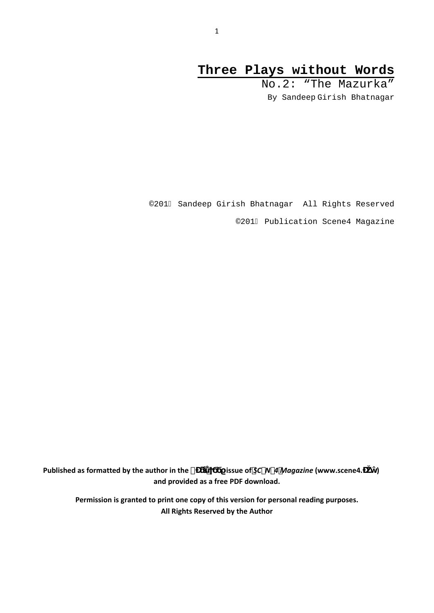# **Three Plays without Words**

 No.2: "The Mazurka" By Sandeep Girish Bhatnagar

©201I Sandeep Girish Bhatnagar All Rights Reserved

©201I Publication Scene4 Magazine

**Published** as formatted by the author in the  $\degree$  issue of *SC-N-4 Magazine* (www.scene4. **and provided as a free PDF download.**

**Permission is granted to print one copy of this version for personal reading purposes. All Rights Reserved by the Author**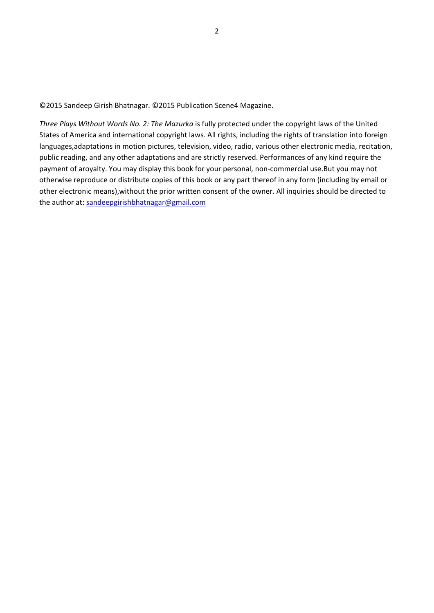©2015 Sandeep Girish Bhatnagar. ©2015 Publication Scene4 Magazine.

*Three Plays Without Words No. 2: The Mazurka* is fully protected under the copyright laws of the United States of America and international copyright laws. All rights, including the rights of translation into foreign languages,adaptations in motion pictures, television, video, radio, various other electronic media, recitation, public reading, and any other adaptations and are strictly reserved. Performances of any kind require the payment of aroyalty. You may display this book for your personal, non‐commercial use.But you may not otherwise reproduce or distribute copies of this book or any part thereof in any form (including by email or other electronic means),without the prior written consent of the owner. All inquiries should be directed to the author at: [sandeepgirishbhatnagar@gmail.com](mailto:sandeepgirishbhatnagar@gmail.com)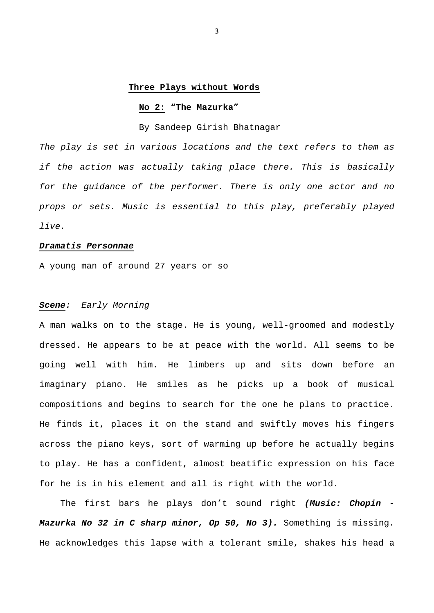#### **Three Plays without Words**

#### **No 2: "The Mazurka"**

By Sandeep Girish Bhatnagar

*The play is set in various locations and the text refers to them as if the action was actually taking place there. This is basically for the guidance of the performer. There is only one actor and no props or sets. Music is essential to this play, preferably played live.* 

#### *Dramatis Personnae*

A young man of around 27 years or so

### *Scene: Early Morning*

A man walks on to the stage. He is young, well-groomed and modestly dressed. He appears to be at peace with the world. All seems to be going well with him. He limbers up and sits down before an imaginary piano. He smiles as he picks up a book of musical compositions and begins to search for the one he plans to practice. He finds it, places it on the stand and swiftly moves his fingers across the piano keys, sort of warming up before he actually begins to play. He has a confident, almost beatific expression on his face for he is in his element and all is right with the world.

 The first bars he plays don't sound right *(Music: Chopin - Mazurka No 32 in C sharp minor, Op 50, No 3).* Something is missing. He acknowledges this lapse with a tolerant smile, shakes his head a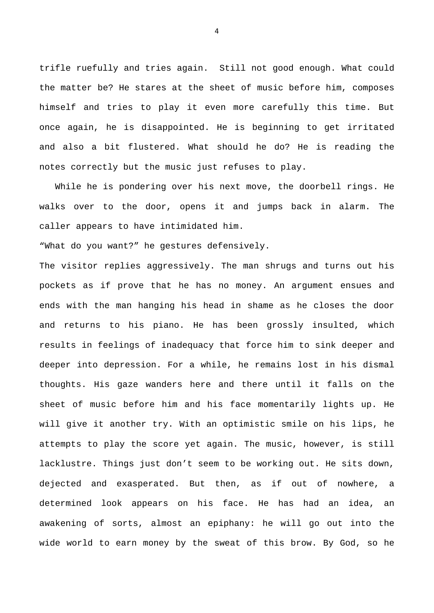trifle ruefully and tries again. Still not good enough. What could the matter be? He stares at the sheet of music before him, composes himself and tries to play it even more carefully this time. But once again, he is disappointed. He is beginning to get irritated and also a bit flustered. What should he do? He is reading the notes correctly but the music just refuses to play.

 While he is pondering over his next move, the doorbell rings. He walks over to the door, opens it and jumps back in alarm. The caller appears to have intimidated him.

"What do you want?" he gestures defensively.

The visitor replies aggressively. The man shrugs and turns out his pockets as if prove that he has no money. An argument ensues and ends with the man hanging his head in shame as he closes the door and returns to his piano. He has been grossly insulted, which results in feelings of inadequacy that force him to sink deeper and deeper into depression. For a while, he remains lost in his dismal thoughts. His gaze wanders here and there until it falls on the sheet of music before him and his face momentarily lights up. He will give it another try. With an optimistic smile on his lips, he attempts to play the score yet again. The music, however, is still lacklustre. Things just don't seem to be working out. He sits down, dejected and exasperated. But then, as if out of nowhere, a determined look appears on his face. He has had an idea, an awakening of sorts, almost an epiphany: he will go out into the wide world to earn money by the sweat of this brow. By God, so he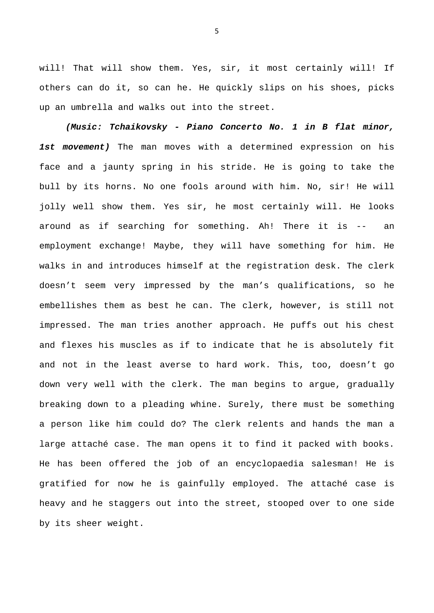will! That will show them. Yes, sir, it most certainly will! If others can do it, so can he. He quickly slips on his shoes, picks up an umbrella and walks out into the street.

 *(Music: Tchaikovsky - Piano Concerto No. 1 in B flat minor, 1st movement)* The man moves with a determined expression on his face and a jaunty spring in his stride. He is going to take the bull by its horns. No one fools around with him. No, sir! He will jolly well show them. Yes sir, he most certainly will. He looks around as if searching for something. Ah! There it is -- an employment exchange! Maybe, they will have something for him. He walks in and introduces himself at the registration desk. The clerk doesn't seem very impressed by the man's qualifications, so he embellishes them as best he can. The clerk, however, is still not impressed. The man tries another approach. He puffs out his chest and flexes his muscles as if to indicate that he is absolutely fit and not in the least averse to hard work. This, too, doesn't go down very well with the clerk. The man begins to argue, gradually breaking down to a pleading whine. Surely, there must be something a person like him could do? The clerk relents and hands the man a large attaché case. The man opens it to find it packed with books. He has been offered the job of an encyclopaedia salesman! He is gratified for now he is gainfully employed. The attaché case is heavy and he staggers out into the street, stooped over to one side by its sheer weight.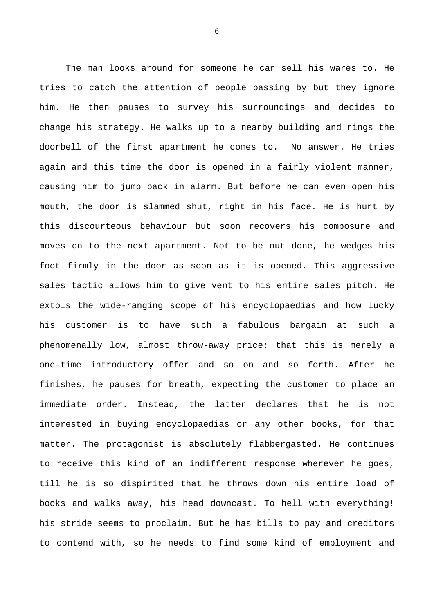The man looks around for someone he can sell his wares to. He tries to catch the attention of people passing by but they ignore him. He then pauses to survey his surroundings and decides to change his strategy. He walks up to a nearby building and rings the doorbell of the first apartment he comes to. No answer. He tries again and this time the door is opened in a fairly violent manner, causing him to jump back in alarm. But before he can even open his mouth, the door is slammed shut, right in his face. He is hurt by this discourteous behaviour but soon recovers his composure and moves on to the next apartment. Not to be out done, he wedges his foot firmly in the door as soon as it is opened. This aggressive sales tactic allows him to give vent to his entire sales pitch. He extols the wide-ranging scope of his encyclopaedias and how lucky his customer is to have such a fabulous bargain at such a phenomenally low, almost throw-away price; that this is merely a one-time introductory offer and so on and so forth. After he finishes, he pauses for breath, expecting the customer to place an immediate order. Instead, the latter declares that he is not interested in buying encyclopaedias or any other books, for that matter. The protagonist is absolutely flabbergasted. He continues to receive this kind of an indifferent response wherever he goes, till he is so dispirited that he throws down his entire load of books and walks away, his head downcast. To hell with everything! his stride seems to proclaim. But he has bills to pay and creditors to contend with, so he needs to find some kind of employment and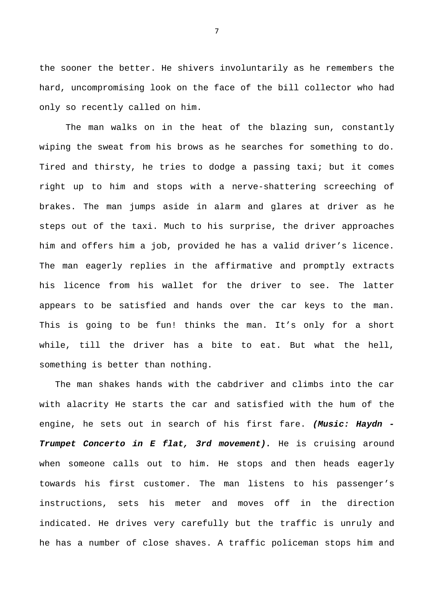the sooner the better. He shivers involuntarily as he remembers the hard, uncompromising look on the face of the bill collector who had only so recently called on him.

 The man walks on in the heat of the blazing sun, constantly wiping the sweat from his brows as he searches for something to do. Tired and thirsty, he tries to dodge a passing taxi; but it comes right up to him and stops with a nerve-shattering screeching of brakes. The man jumps aside in alarm and glares at driver as he steps out of the taxi. Much to his surprise, the driver approaches him and offers him a job, provided he has a valid driver's licence. The man eagerly replies in the affirmative and promptly extracts his licence from his wallet for the driver to see. The latter appears to be satisfied and hands over the car keys to the man. This is going to be fun! thinks the man. It's only for a short while, till the driver has a bite to eat. But what the hell, something is better than nothing.

 The man shakes hands with the cabdriver and climbs into the car with alacrity He starts the car and satisfied with the hum of the engine, he sets out in search of his first fare. *(Music: Haydn - Trumpet Concerto in E flat, 3rd movement).* He is cruising around when someone calls out to him. He stops and then heads eagerly towards his first customer. The man listens to his passenger's instructions, sets his meter and moves off in the direction indicated. He drives very carefully but the traffic is unruly and he has a number of close shaves. A traffic policeman stops him and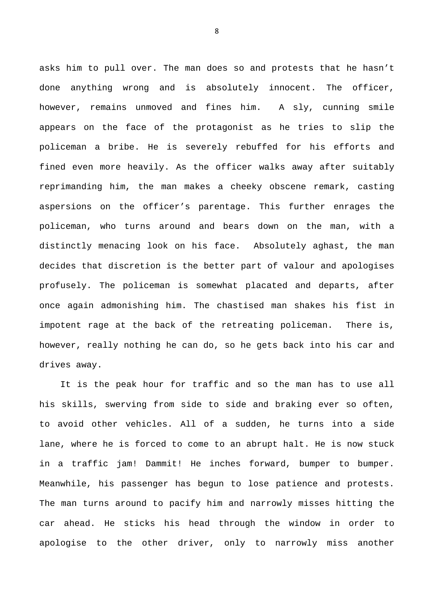asks him to pull over. The man does so and protests that he hasn't done anything wrong and is absolutely innocent. The officer, however, remains unmoved and fines him. A sly, cunning smile appears on the face of the protagonist as he tries to slip the policeman a bribe. He is severely rebuffed for his efforts and fined even more heavily. As the officer walks away after suitably reprimanding him, the man makes a cheeky obscene remark, casting aspersions on the officer's parentage. This further enrages the policeman, who turns around and bears down on the man, with a distinctly menacing look on his face. Absolutely aghast, the man decides that discretion is the better part of valour and apologises profusely. The policeman is somewhat placated and departs, after once again admonishing him. The chastised man shakes his fist in impotent rage at the back of the retreating policeman. There is, however, really nothing he can do, so he gets back into his car and drives away.

 It is the peak hour for traffic and so the man has to use all his skills, swerving from side to side and braking ever so often, to avoid other vehicles. All of a sudden, he turns into a side lane, where he is forced to come to an abrupt halt. He is now stuck in a traffic jam! Dammit! He inches forward, bumper to bumper. Meanwhile, his passenger has begun to lose patience and protests. The man turns around to pacify him and narrowly misses hitting the car ahead. He sticks his head through the window in order to apologise to the other driver, only to narrowly miss another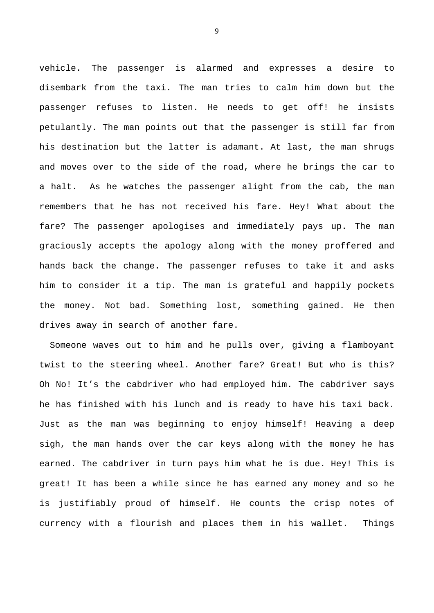vehicle. The passenger is alarmed and expresses a desire to disembark from the taxi. The man tries to calm him down but the passenger refuses to listen. He needs to get off! he insists petulantly. The man points out that the passenger is still far from his destination but the latter is adamant. At last, the man shrugs and moves over to the side of the road, where he brings the car to a halt. As he watches the passenger alight from the cab, the man remembers that he has not received his fare. Hey! What about the fare? The passenger apologises and immediately pays up. The man graciously accepts the apology along with the money proffered and hands back the change. The passenger refuses to take it and asks him to consider it a tip. The man is grateful and happily pockets the money. Not bad. Something lost, something gained. He then drives away in search of another fare.

 Someone waves out to him and he pulls over, giving a flamboyant twist to the steering wheel. Another fare? Great! But who is this? Oh No! It's the cabdriver who had employed him. The cabdriver says he has finished with his lunch and is ready to have his taxi back. Just as the man was beginning to enjoy himself! Heaving a deep sigh, the man hands over the car keys along with the money he has earned. The cabdriver in turn pays him what he is due. Hey! This is great! It has been a while since he has earned any money and so he is justifiably proud of himself. He counts the crisp notes of currency with a flourish and places them in his wallet. Things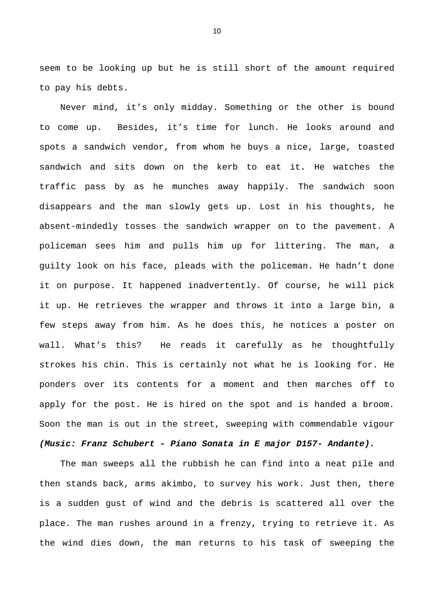seem to be looking up but he is still short of the amount required to pay his debts.

 Never mind, it's only midday. Something or the other is bound to come up. Besides, it's time for lunch. He looks around and spots a sandwich vendor, from whom he buys a nice, large, toasted sandwich and sits down on the kerb to eat it. He watches the traffic pass by as he munches away happily. The sandwich soon disappears and the man slowly gets up. Lost in his thoughts, he absent-mindedly tosses the sandwich wrapper on to the pavement. A policeman sees him and pulls him up for littering. The man, a guilty look on his face, pleads with the policeman. He hadn't done it on purpose. It happened inadvertently. Of course, he will pick it up. He retrieves the wrapper and throws it into a large bin, a few steps away from him. As he does this, he notices a poster on wall. What's this? He reads it carefully as he thoughtfully strokes his chin. This is certainly not what he is looking for. He ponders over its contents for a moment and then marches off to apply for the post. He is hired on the spot and is handed a broom. Soon the man is out in the street, sweeping with commendable vigour

## *(Music: Franz Schubert - Piano Sonata in E major D157- Andante).*

 The man sweeps all the rubbish he can find into a neat pile and then stands back, arms akimbo, to survey his work. Just then, there is a sudden gust of wind and the debris is scattered all over the place. The man rushes around in a frenzy, trying to retrieve it. As the wind dies down, the man returns to his task of sweeping the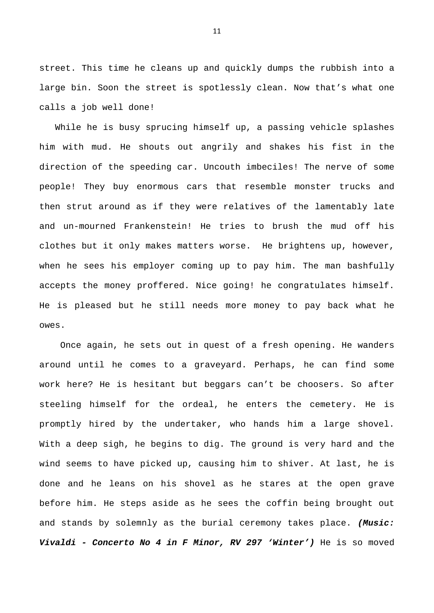street. This time he cleans up and quickly dumps the rubbish into a large bin. Soon the street is spotlessly clean. Now that's what one calls a job well done!

 While he is busy sprucing himself up, a passing vehicle splashes him with mud. He shouts out angrily and shakes his fist in the direction of the speeding car. Uncouth imbeciles! The nerve of some people! They buy enormous cars that resemble monster trucks and then strut around as if they were relatives of the lamentably late and un-mourned Frankenstein! He tries to brush the mud off his clothes but it only makes matters worse. He brightens up, however, when he sees his employer coming up to pay him. The man bashfully accepts the money proffered. Nice going! he congratulates himself. He is pleased but he still needs more money to pay back what he owes.

 Once again, he sets out in quest of a fresh opening. He wanders around until he comes to a graveyard. Perhaps, he can find some work here? He is hesitant but beggars can't be choosers. So after steeling himself for the ordeal, he enters the cemetery. He is promptly hired by the undertaker, who hands him a large shovel. With a deep sigh, he begins to dig. The ground is very hard and the wind seems to have picked up, causing him to shiver. At last, he is done and he leans on his shovel as he stares at the open grave before him. He steps aside as he sees the coffin being brought out and stands by solemnly as the burial ceremony takes place. *(Music: Vivaldi - Concerto No 4 in F Minor, RV 297 'Winter')* He is so moved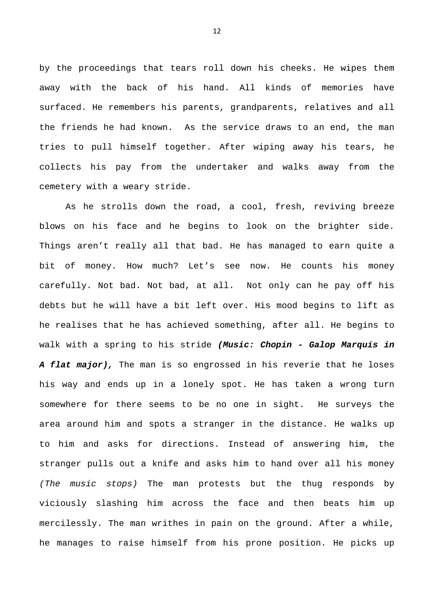by the proceedings that tears roll down his cheeks. He wipes them away with the back of his hand. All kinds of memories have surfaced. He remembers his parents, grandparents, relatives and all the friends he had known. As the service draws to an end, the man tries to pull himself together. After wiping away his tears, he collects his pay from the undertaker and walks away from the cemetery with a weary stride.

 As he strolls down the road, a cool, fresh, reviving breeze blows on his face and he begins to look on the brighter side. Things aren't really all that bad. He has managed to earn quite a bit of money. How much? Let's see now. He counts his money carefully. Not bad. Not bad, at all. Not only can he pay off his debts but he will have a bit left over. His mood begins to lift as he realises that he has achieved something, after all. He begins to walk with a spring to his stride *(Music: Chopin - Galop Marquis in A flat major),* The man is so engrossed in his reverie that he loses his way and ends up in a lonely spot. He has taken a wrong turn somewhere for there seems to be no one in sight. He surveys the area around him and spots a stranger in the distance. He walks up to him and asks for directions. Instead of answering him, the stranger pulls out a knife and asks him to hand over all his money *(The music stops)* The man protests but the thug responds by viciously slashing him across the face and then beats him up mercilessly. The man writhes in pain on the ground. After a while, he manages to raise himself from his prone position. He picks up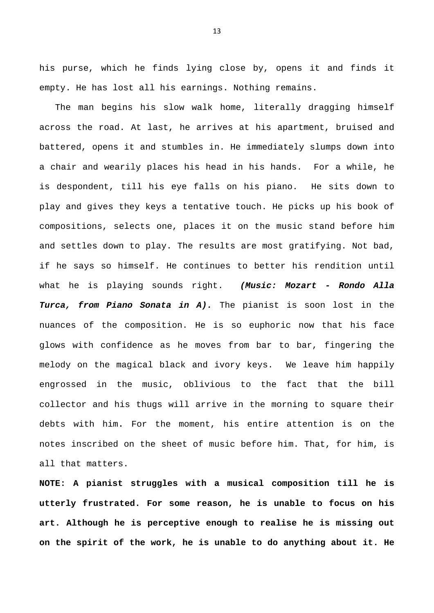his purse, which he finds lying close by, opens it and finds it empty. He has lost all his earnings. Nothing remains.

 The man begins his slow walk home, literally dragging himself across the road. At last, he arrives at his apartment, bruised and battered, opens it and stumbles in. He immediately slumps down into a chair and wearily places his head in his hands. For a while, he is despondent, till his eye falls on his piano. He sits down to play and gives they keys a tentative touch. He picks up his book of compositions, selects one, places it on the music stand before him and settles down to play. The results are most gratifying. Not bad, if he says so himself. He continues to better his rendition until what he is playing sounds right. *(Music: Mozart - Rondo Alla Turca, from Piano Sonata in A).* The pianist is soon lost in the nuances of the composition. He is so euphoric now that his face glows with confidence as he moves from bar to bar, fingering the melody on the magical black and ivory keys. We leave him happily engrossed in the music, oblivious to the fact that the bill collector and his thugs will arrive in the morning to square their debts with him**.** For the moment, his entire attention is on the notes inscribed on the sheet of music before him. That, for him, is all that matters.

**NOTE: A pianist struggles with a musical composition till he is utterly frustrated. For some reason, he is unable to focus on his art. Although he is perceptive enough to realise he is missing out on the spirit of the work, he is unable to do anything about it. He**